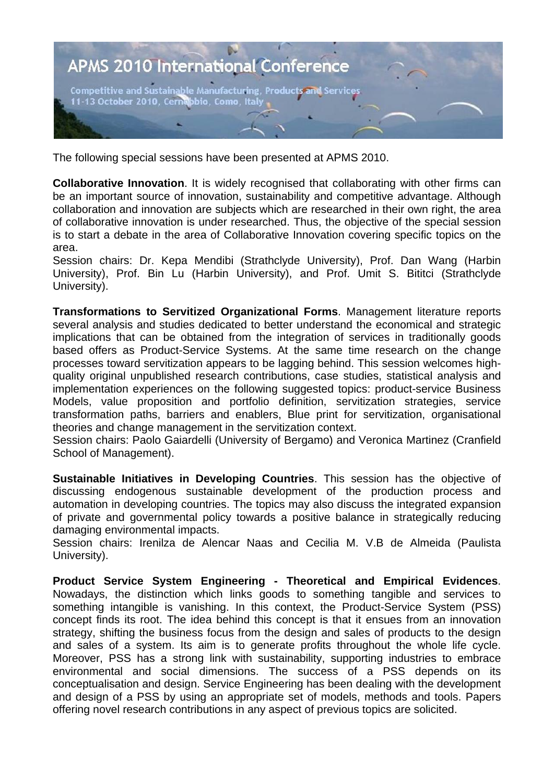

The following special sessions have been presented at APMS 2010.

**Collaborative Innovation**. It is widely recognised that collaborating with other firms can be an important source of innovation, sustainability and competitive advantage. Although collaboration and innovation are subjects which are researched in their own right, the area of collaborative innovation is under researched. Thus, the objective of the special session is to start a debate in the area of Collaborative Innovation covering specific topics on the area.

Session chairs: Dr. Kepa Mendibi (Strathclyde University), Prof. Dan Wang (Harbin University), Prof. Bin Lu (Harbin University), and Prof. Umit S. Bititci (Strathclyde University).

**Transformations to Servitized Organizational Forms**. Management literature reports several analysis and studies dedicated to better understand the economical and strategic implications that can be obtained from the integration of services in traditionally goods based offers as Product-Service Systems. At the same time research on the change processes toward servitization appears to be lagging behind. This session welcomes highquality original unpublished research contributions, case studies, statistical analysis and implementation experiences on the following suggested topics: product-service Business Models, value proposition and portfolio definition, servitization strategies, service transformation paths, barriers and enablers, Blue print for servitization, organisational theories and change management in the servitization context.

Session chairs: Paolo Gaiardelli (University of Bergamo) and Veronica Martinez (Cranfield School of Management).

**Sustainable Initiatives in Developing Countries**. This session has the objective of discussing endogenous sustainable development of the production process and automation in developing countries. The topics may also discuss the integrated expansion of private and governmental policy towards a positive balance in strategically reducing damaging environmental impacts.

Session chairs: Irenilza de Alencar Naas and Cecilia M. V.B de Almeida (Paulista University).

**Product Service System Engineering - Theoretical and Empirical Evidences**. Nowadays, the distinction which links goods to something tangible and services to something intangible is vanishing. In this context, the Product-Service System (PSS) concept finds its root. The idea behind this concept is that it ensues from an innovation strategy, shifting the business focus from the design and sales of products to the design and sales of a system. Its aim is to generate profits throughout the whole life cycle. Moreover, PSS has a strong link with sustainability, supporting industries to embrace environmental and social dimensions. The success of a PSS depends on its conceptualisation and design. Service Engineering has been dealing with the development and design of a PSS by using an appropriate set of models, methods and tools. Papers offering novel research contributions in any aspect of previous topics are solicited.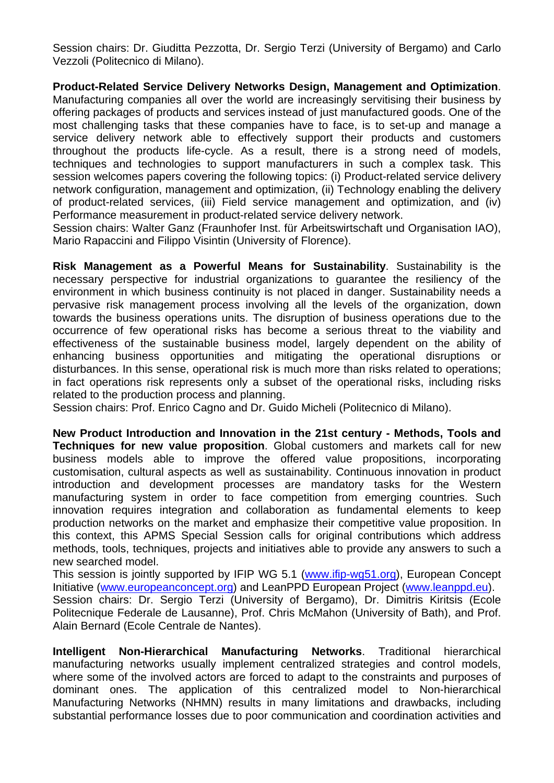Session chairs: Dr. Giuditta Pezzotta, Dr. Sergio Terzi (University of Bergamo) and Carlo Vezzoli (Politecnico di Milano).

**Product-Related Service Delivery Networks Design, Management and Optimization**. Manufacturing companies all over the world are increasingly servitising their business by offering packages of products and services instead of just manufactured goods. One of the most challenging tasks that these companies have to face, is to set-up and manage a service delivery network able to effectively support their products and customers throughout the products life-cycle. As a result, there is a strong need of models, techniques and technologies to support manufacturers in such a complex task. This session welcomes papers covering the following topics: (i) Product-related service delivery network configuration, management and optimization, (ii) Technology enabling the delivery of product-related services, (iii) Field service management and optimization, and (iv) Performance measurement in product-related service delivery network.

Session chairs: Walter Ganz (Fraunhofer Inst. für Arbeitswirtschaft und Organisation IAO), Mario Rapaccini and Filippo Visintin (University of Florence).

**Risk Management as a Powerful Means for Sustainability**. Sustainability is the necessary perspective for industrial organizations to guarantee the resiliency of the environment in which business continuity is not placed in danger. Sustainability needs a pervasive risk management process involving all the levels of the organization, down towards the business operations units. The disruption of business operations due to the occurrence of few operational risks has become a serious threat to the viability and effectiveness of the sustainable business model, largely dependent on the ability of enhancing business opportunities and mitigating the operational disruptions or disturbances. In this sense, operational risk is much more than risks related to operations; in fact operations risk represents only a subset of the operational risks, including risks related to the production process and planning.

Session chairs: Prof. Enrico Cagno and Dr. Guido Micheli (Politecnico di Milano).

**New Product Introduction and Innovation in the 21st century - Methods, Tools and Techniques for new value proposition.** Global customers and markets call for new business models able to improve the offered value propositions, incorporating customisation, cultural aspects as well as sustainability. Continuous innovation in product introduction and development processes are mandatory tasks for the Western manufacturing system in order to face competition from emerging countries. Such innovation requires integration and collaboration as fundamental elements to keep production networks on the market and emphasize their competitive value proposition. In this context, this APMS Special Session calls for original contributions which address methods, tools, techniques, projects and initiatives able to provide any answers to such a new searched model.

This session is jointly supported by IFIP WG 5.1 (www.ifip-wg51.org), European Concept Initiative (www.europeanconcept.org) and LeanPPD European Project (www.leanppd.eu). Session chairs: Dr. Sergio Terzi (University of Bergamo), Dr. Dimitris Kiritsis (Ecole Politecnique Federale de Lausanne), Prof. Chris McMahon (University of Bath), and Prof. Alain Bernard (Ecole Centrale de Nantes).

**Intelligent Non-Hierarchical Manufacturing Networks**. Traditional hierarchical manufacturing networks usually implement centralized strategies and control models, where some of the involved actors are forced to adapt to the constraints and purposes of dominant ones. The application of this centralized model to Non-hierarchical Manufacturing Networks (NHMN) results in many limitations and drawbacks, including substantial performance losses due to poor communication and coordination activities and